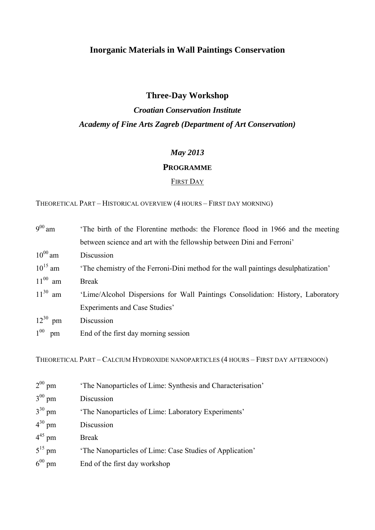## **Inorganic Materials in Wall Paintings Conservation**

## **Three-Day Workshop**

# *Croatian Conservation Institute Academy of Fine Arts Zagreb (Department of Art Conservation)*

### *May 2013*

#### **PROGRAMME**

#### FIRST DAY

THEORETICAL PART – HISTORICAL OVERVIEW (4 HOURS – FIRST DAY MORNING)

| $9^{00}$ am    | The birth of the Florentine methods: the Florence flood in 1966 and the meeting   |
|----------------|-----------------------------------------------------------------------------------|
|                | between science and art with the fellowship between Dini and Ferroni'             |
| $10^{00}$ am   | Discussion                                                                        |
| $10^{15}$ am   | The chemistry of the Ferroni-Dini method for the wall paintings desulphatization' |
| $11^{00}$ am   | <b>Break</b>                                                                      |
| $11^{30}$ am   | 'Lime/Alcohol Dispersions for Wall Paintings Consolidation: History, Laboratory   |
|                | Experiments and Case Studies'                                                     |
| $12^{30}$ pm   | Discussion                                                                        |
| $1^{00}$<br>pm | End of the first day morning session                                              |
|                |                                                                                   |

THEORETICAL PART – CALCIUM HYDROXIDE NANOPARTICLES (4 HOURS – FIRST DAY AFTERNOON)

| $2^{00}$ pm | 'The Nanoparticles of Lime: Synthesis and Characterisation' |
|-------------|-------------------------------------------------------------|
| $3^{00}$ pm | Discussion                                                  |
| $3^{30}$ pm | 'The Nanoparticles of Lime: Laboratory Experiments'         |
| $4^{30}$ pm | Discussion                                                  |
| $4^{45}$ pm | <b>Break</b>                                                |
| $5^{15}$ pm | The Nanoparticles of Lime: Case Studies of Application'     |
| $6^{00}$ pm | End of the first day workshop                               |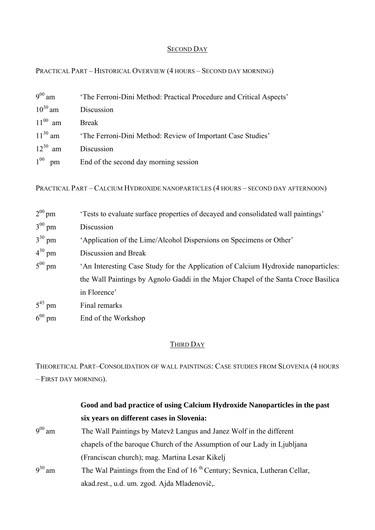### **SECOND DAY**

PRACTICAL PART – HISTORICAL OVERVIEW (4 HOURS – SECOND DAY MORNING)

| $9^{00}$ am  | 'The Ferroni-Dini Method: Practical Procedure and Critical Aspects' |
|--------------|---------------------------------------------------------------------|
| $10^{30}$ am | Discussion                                                          |
| $11^{00}$ am | <b>Break</b>                                                        |
| $11^{30}$ am | 'The Ferroni-Dini Method: Review of Important Case Studies'         |
| $12^{30}$ am | Discussion                                                          |
| $1^{00}$ pm  | End of the second day morning session                               |

PRACTICAL PART – CALCIUM HYDROXIDE NANOPARTICLES (4 HOURS – SECOND DAY AFTERNOON)

| $2^{00}$ pm | "Tests to evaluate surface properties of decayed and consolidated wall paintings"  |
|-------------|------------------------------------------------------------------------------------|
| $3^{00}$ pm | Discussion                                                                         |
| $3^{30}$ pm | 'Application of the Lime/Alcohol Dispersions on Specimens or Other'                |
| $4^{30}$ pm | Discussion and Break                                                               |
| $5^{00}$ pm | 'An Interesting Case Study for the Application of Calcium Hydroxide nanoparticles: |
|             | the Wall Paintings by Agnolo Gaddi in the Major Chapel of the Santa Croce Basilica |
|             | in Florence'                                                                       |
| $5^{45}$ pm | Final remarks                                                                      |
| $6^{00}$ pm | End of the Workshop                                                                |

## THIRD DAY

THEORETICAL PART–CONSOLIDATION OF WALL PAINTINGS: CASE STUDIES FROM SLOVENIA (4 HOURS – FIRST DAY MORNING).

|             | Good and bad practice of using Calcium Hydroxide Nanoparticles in the past            |
|-------------|---------------------------------------------------------------------------------------|
|             | six years on different cases in Slovenia:                                             |
| $9^{00}$ am | The Wall Paintings by Matevž Langus and Janez Wolf in the different                   |
|             | chapels of the baroque Church of the Assumption of our Lady in Ljubljana              |
|             | (Franciscan church); mag. Martina Lesar Kikelj                                        |
| $9^{30}$ am | The Wal Paintings from the End of 16 <sup>th</sup> Century; Sevnica, Lutheran Cellar, |
|             | akad.rest., u.d. um. zgod. Ajda Mladenovič,.                                          |